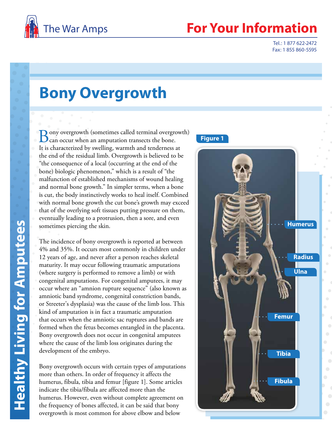

## **Your Information**

Tel.: 1 877 622-2472 Fax: 1 855 860-5595

# **Bony Overgrowth**

**D** ony overgrowth (sometimes called terminal overgrowth) can occur when an amputation transects the bone. It is characterized by swelling, warmth and tenderness at the end of the residual limb. Overgrowth is believed to be "the consequence of a local (occurring at the end of the bone) biologic phenomenon," which is a result of "the malfunction of established mechanisms of wound healing and normal bone growth." In simpler terms, when a bone is cut, the body instinctively works to heal itself. Combined with normal bone growth the cut bone's growth may exceed that of the overlying soft tissues putting pressure on them, eventually leading to a protrusion, then a sore, and even sometimes piercing the skin.

The incidence of bony overgrowth is reported at between 4% and 35%. It occurs most commonly in children under 12 years of age, and never after a person reaches skeletal maturity. It may occur following traumatic amputations (where surgery is performed to remove a limb) or with congenital amputations. For congenital amputees, it may occur where an "amnion rupture sequence" (also known as amniotic band syndrome, congenital constriction bands, or Streeter's dysplasia) was the cause of the limb loss. This kind of amputation is in fact a traumatic amputation that occurs when the amniotic sac ruptures and bands are formed when the fetus becomes entangled in the placenta. Bony overgrowth does not occur in congenital amputees where the cause of the limb loss originates during the development of the embryo.

**Healthy Living for Amputees**

**Healthy Living for Amputees** 

Bony overgrowth occurs with certain types of amputations more than others. In order of frequency it affects the humerus, fibula, tibia and femur [figure 1]. Some articles indicate the tibia/fibula are affected more than the humerus. However, even without complete agreement on the frequency of bones affected, it can be said that bony overgrowth is most common for above elbow and below

#### **Figure 1**